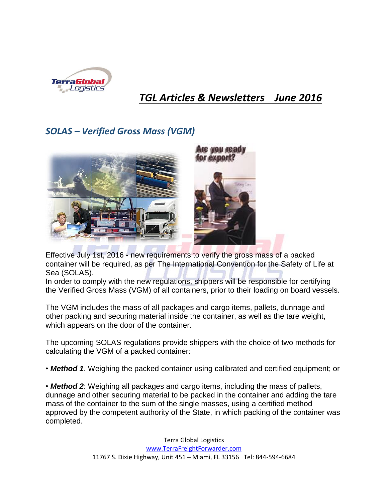

## *TGL Articles & Newsletters June 2016*

## *SOLAS – Verified Gross Mass (VGM)*



Effective July 1st, 2016 - new requirements to verify the gross mass of a packed container will be required, as per The International Convention for the Safety of Life at Sea (SOLAS).

In order to comply with the new regulations, shippers will be responsible for certifying the Verified Gross Mass (VGM) of all containers, prior to their loading on board vessels.

The VGM includes the mass of all packages and cargo items, pallets, dunnage and other packing and securing material inside the container, as well as the tare weight, which appears on the door of the container.

The upcoming SOLAS regulations provide shippers with the choice of two methods for calculating the VGM of a packed container:

• *Method 1*. Weighing the packed container using calibrated and certified equipment; or

• *Method 2*: Weighing all packages and cargo items, including the mass of pallets, dunnage and other securing material to be packed in the container and adding the tare mass of the container to the sum of the single masses, using a certified method approved by the competent authority of the State, in which packing of the container was completed.

> Terra Global Logistics [www.TerraFreightForwarder.com](http://www.terrafreightforwarder.com/) 11767 S. Dixie Highway, Unit 451 – Miami, FL 33156 Tel: 844-594-6684